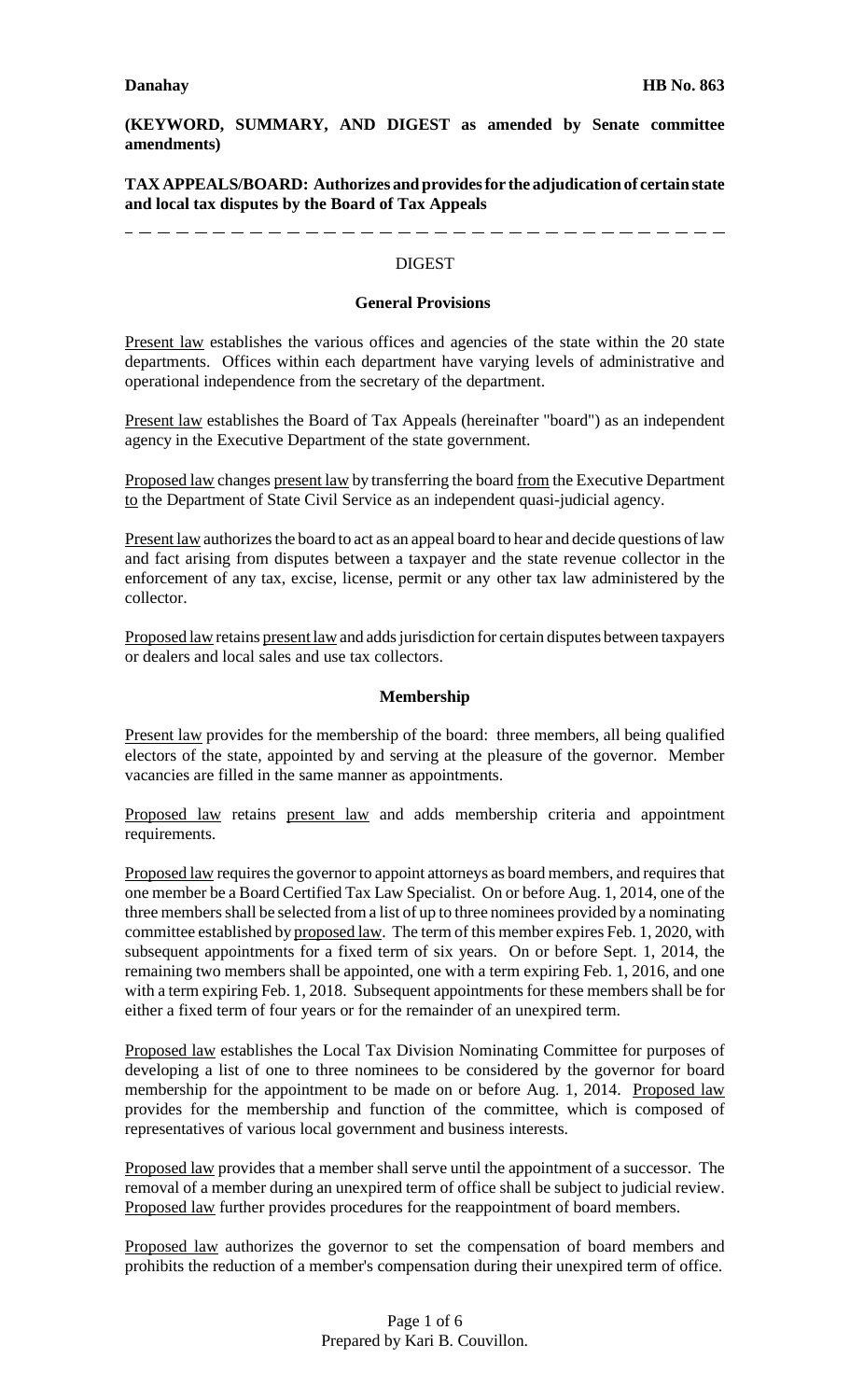**(KEYWORD, SUMMARY, AND DIGEST as amended by Senate committee amendments)**

**TAX APPEALS/BOARD: Authorizes and provides for the adjudication of certain state and local tax disputes by the Board of Tax Appeals**

-------------------------------------

**DIGEST** 

#### **General Provisions**

Present law establishes the various offices and agencies of the state within the 20 state departments. Offices within each department have varying levels of administrative and operational independence from the secretary of the department.

Present law establishes the Board of Tax Appeals (hereinafter "board") as an independent agency in the Executive Department of the state government.

Proposed law changes present law by transferring the board from the Executive Department to the Department of State Civil Service as an independent quasi-judicial agency.

Present law authorizes the board to act as an appeal board to hear and decide questions of law and fact arising from disputes between a taxpayer and the state revenue collector in the enforcement of any tax, excise, license, permit or any other tax law administered by the collector.

Proposed law retains present law and adds jurisdiction for certain disputes between taxpayers or dealers and local sales and use tax collectors.

### **Membership**

Present law provides for the membership of the board: three members, all being qualified electors of the state, appointed by and serving at the pleasure of the governor. Member vacancies are filled in the same manner as appointments.

Proposed law retains present law and adds membership criteria and appointment requirements.

Proposed law requires the governor to appoint attorneys as board members, and requires that one member be a Board Certified Tax Law Specialist. On or before Aug. 1, 2014, one of the three members shall be selected from a list of up to three nominees provided by a nominating committee established by proposed law. The term of this member expires Feb. 1, 2020, with subsequent appointments for a fixed term of six years. On or before Sept. 1, 2014, the remaining two members shall be appointed, one with a term expiring Feb. 1, 2016, and one with a term expiring Feb. 1, 2018. Subsequent appointments for these members shall be for either a fixed term of four years or for the remainder of an unexpired term.

Proposed law establishes the Local Tax Division Nominating Committee for purposes of developing a list of one to three nominees to be considered by the governor for board membership for the appointment to be made on or before Aug. 1, 2014. Proposed law provides for the membership and function of the committee, which is composed of representatives of various local government and business interests.

Proposed law provides that a member shall serve until the appointment of a successor. The removal of a member during an unexpired term of office shall be subject to judicial review. Proposed law further provides procedures for the reappointment of board members.

Proposed law authorizes the governor to set the compensation of board members and prohibits the reduction of a member's compensation during their unexpired term of office.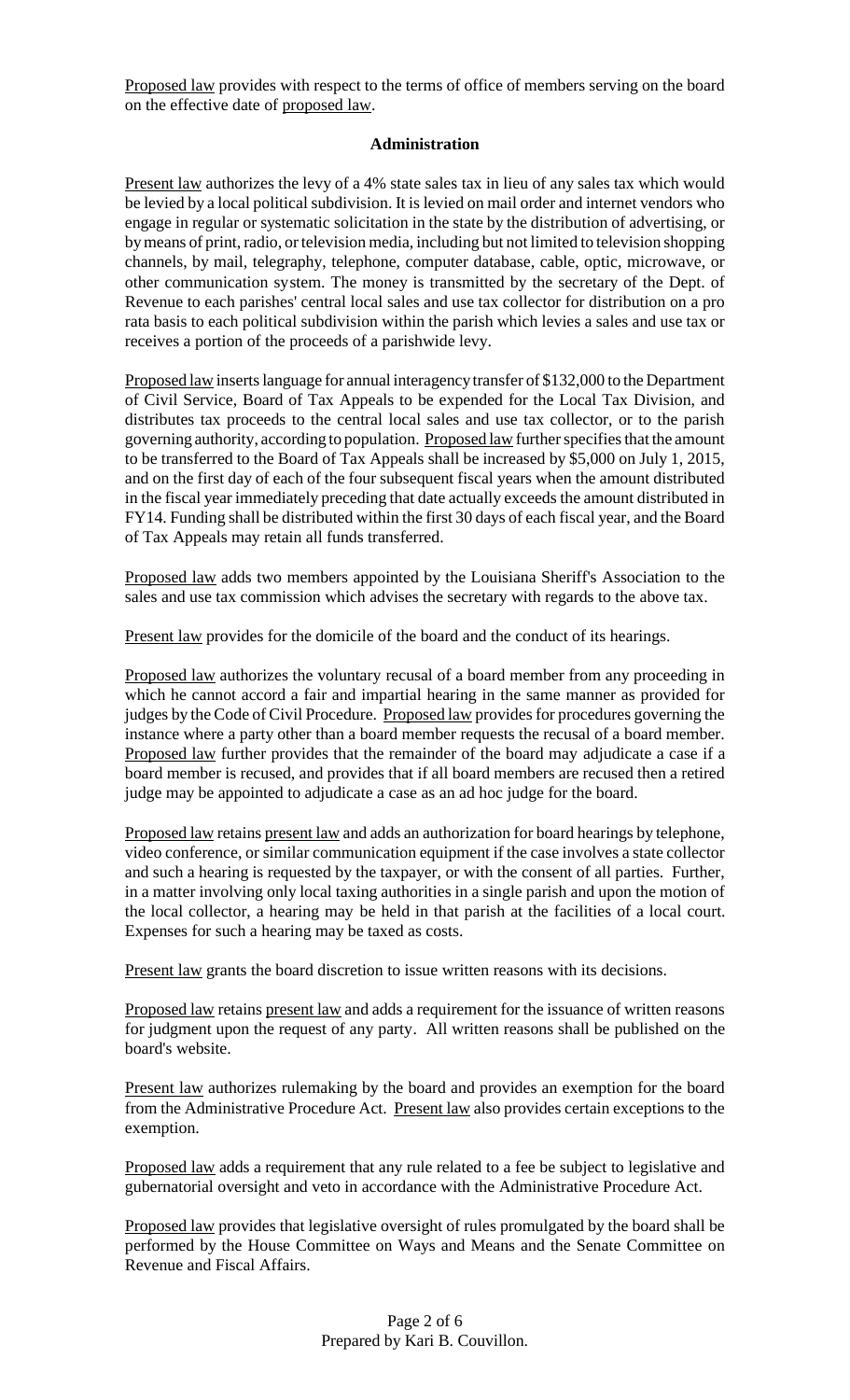Proposed law provides with respect to the terms of office of members serving on the board on the effective date of proposed law.

### **Administration**

Present law authorizes the levy of a 4% state sales tax in lieu of any sales tax which would be levied by a local political subdivision. It is levied on mail order and internet vendors who engage in regular or systematic solicitation in the state by the distribution of advertising, or by means of print, radio, or television media, including but not limited to television shopping channels, by mail, telegraphy, telephone, computer database, cable, optic, microwave, or other communication system. The money is transmitted by the secretary of the Dept. of Revenue to each parishes' central local sales and use tax collector for distribution on a pro rata basis to each political subdivision within the parish which levies a sales and use tax or receives a portion of the proceeds of a parishwide levy.

Proposed law inserts language for annual interagency transfer of \$132,000 to the Department of Civil Service, Board of Tax Appeals to be expended for the Local Tax Division, and distributes tax proceeds to the central local sales and use tax collector, or to the parish governing authority, according to population. Proposed law further specifies that the amount to be transferred to the Board of Tax Appeals shall be increased by \$5,000 on July 1, 2015, and on the first day of each of the four subsequent fiscal years when the amount distributed in the fiscal year immediately preceding that date actually exceeds the amount distributed in FY14. Funding shall be distributed within the first 30 days of each fiscal year, and the Board of Tax Appeals may retain all funds transferred.

Proposed law adds two members appointed by the Louisiana Sheriff's Association to the sales and use tax commission which advises the secretary with regards to the above tax.

Present law provides for the domicile of the board and the conduct of its hearings.

Proposed law authorizes the voluntary recusal of a board member from any proceeding in which he cannot accord a fair and impartial hearing in the same manner as provided for judges by the Code of Civil Procedure. Proposed law provides for procedures governing the instance where a party other than a board member requests the recusal of a board member. Proposed law further provides that the remainder of the board may adjudicate a case if a board member is recused, and provides that if all board members are recused then a retired judge may be appointed to adjudicate a case as an ad hoc judge for the board.

Proposed law retains present law and adds an authorization for board hearings by telephone, video conference, or similar communication equipment if the case involves a state collector and such a hearing is requested by the taxpayer, or with the consent of all parties. Further, in a matter involving only local taxing authorities in a single parish and upon the motion of the local collector, a hearing may be held in that parish at the facilities of a local court. Expenses for such a hearing may be taxed as costs.

Present law grants the board discretion to issue written reasons with its decisions.

Proposed law retains present law and adds a requirement for the issuance of written reasons for judgment upon the request of any party. All written reasons shall be published on the board's website.

Present law authorizes rulemaking by the board and provides an exemption for the board from the Administrative Procedure Act. Present law also provides certain exceptions to the exemption.

Proposed law adds a requirement that any rule related to a fee be subject to legislative and gubernatorial oversight and veto in accordance with the Administrative Procedure Act.

Proposed law provides that legislative oversight of rules promulgated by the board shall be performed by the House Committee on Ways and Means and the Senate Committee on Revenue and Fiscal Affairs.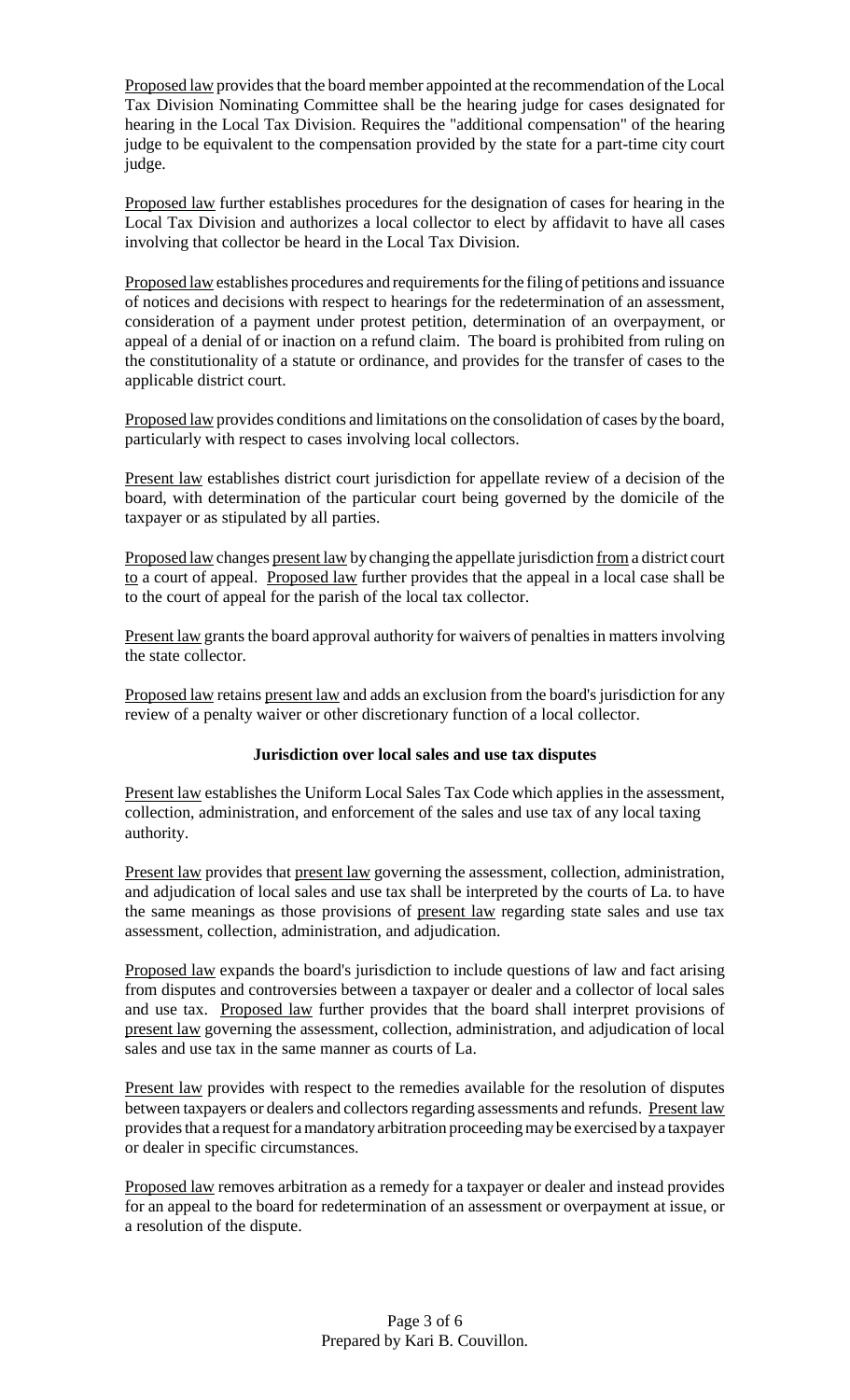Proposed law provides that the board member appointed at the recommendation of the Local Tax Division Nominating Committee shall be the hearing judge for cases designated for hearing in the Local Tax Division. Requires the "additional compensation" of the hearing judge to be equivalent to the compensation provided by the state for a part-time city court judge.

Proposed law further establishes procedures for the designation of cases for hearing in the Local Tax Division and authorizes a local collector to elect by affidavit to have all cases involving that collector be heard in the Local Tax Division.

Proposed law establishes procedures and requirements for the filing of petitions and issuance of notices and decisions with respect to hearings for the redetermination of an assessment, consideration of a payment under protest petition, determination of an overpayment, or appeal of a denial of or inaction on a refund claim. The board is prohibited from ruling on the constitutionality of a statute or ordinance, and provides for the transfer of cases to the applicable district court.

Proposed law provides conditions and limitations on the consolidation of cases by the board, particularly with respect to cases involving local collectors.

Present law establishes district court jurisdiction for appellate review of a decision of the board, with determination of the particular court being governed by the domicile of the taxpayer or as stipulated by all parties.

Proposed law changes present law by changing the appellate jurisdiction from a district court to a court of appeal. Proposed law further provides that the appeal in a local case shall be to the court of appeal for the parish of the local tax collector.

Present law grants the board approval authority for waivers of penalties in matters involving the state collector.

Proposed law retains present law and adds an exclusion from the board's jurisdiction for any review of a penalty waiver or other discretionary function of a local collector.

# **Jurisdiction over local sales and use tax disputes**

Present law establishes the Uniform Local Sales Tax Code which applies in the assessment, collection, administration, and enforcement of the sales and use tax of any local taxing authority.

Present law provides that present law governing the assessment, collection, administration, and adjudication of local sales and use tax shall be interpreted by the courts of La. to have the same meanings as those provisions of present law regarding state sales and use tax assessment, collection, administration, and adjudication.

Proposed law expands the board's jurisdiction to include questions of law and fact arising from disputes and controversies between a taxpayer or dealer and a collector of local sales and use tax. Proposed law further provides that the board shall interpret provisions of present law governing the assessment, collection, administration, and adjudication of local sales and use tax in the same manner as courts of La.

Present law provides with respect to the remedies available for the resolution of disputes between taxpayers or dealers and collectors regarding assessments and refunds. Present law provides that a request for a mandatory arbitration proceeding may be exercised by a taxpayer or dealer in specific circumstances.

Proposed law removes arbitration as a remedy for a taxpayer or dealer and instead provides for an appeal to the board for redetermination of an assessment or overpayment at issue, or a resolution of the dispute.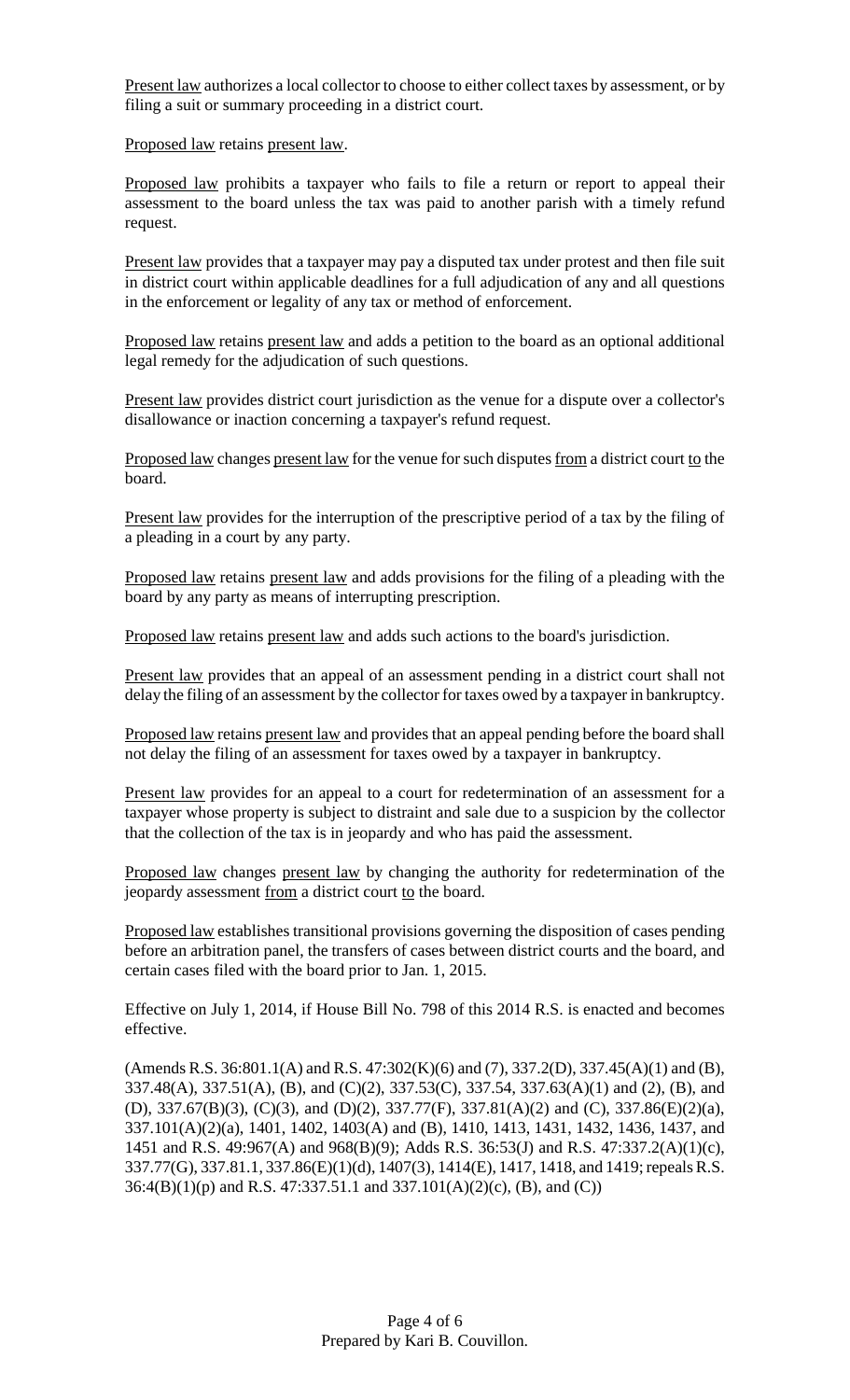Present law authorizes a local collector to choose to either collect taxes by assessment, or by filing a suit or summary proceeding in a district court.

Proposed law retains present law.

Proposed law prohibits a taxpayer who fails to file a return or report to appeal their assessment to the board unless the tax was paid to another parish with a timely refund request.

Present law provides that a taxpayer may pay a disputed tax under protest and then file suit in district court within applicable deadlines for a full adjudication of any and all questions in the enforcement or legality of any tax or method of enforcement.

Proposed law retains present law and adds a petition to the board as an optional additional legal remedy for the adjudication of such questions.

Present law provides district court jurisdiction as the venue for a dispute over a collector's disallowance or inaction concerning a taxpayer's refund request.

Proposed law changes present law for the venue for such disputes from a district court to the board.

Present law provides for the interruption of the prescriptive period of a tax by the filing of a pleading in a court by any party.

Proposed law retains present law and adds provisions for the filing of a pleading with the board by any party as means of interrupting prescription.

Proposed law retains present law and adds such actions to the board's jurisdiction.

Present law provides that an appeal of an assessment pending in a district court shall not delay the filing of an assessment by the collector for taxes owed by a taxpayer in bankruptcy.

Proposed law retains present law and provides that an appeal pending before the board shall not delay the filing of an assessment for taxes owed by a taxpayer in bankruptcy.

Present law provides for an appeal to a court for redetermination of an assessment for a taxpayer whose property is subject to distraint and sale due to a suspicion by the collector that the collection of the tax is in jeopardy and who has paid the assessment.

Proposed law changes present law by changing the authority for redetermination of the jeopardy assessment from a district court to the board.

Proposed law establishes transitional provisions governing the disposition of cases pending before an arbitration panel, the transfers of cases between district courts and the board, and certain cases filed with the board prior to Jan. 1, 2015.

Effective on July 1, 2014, if House Bill No. 798 of this 2014 R.S. is enacted and becomes effective.

(Amends R.S. 36:801.1(A) and R.S. 47:302(K)(6) and (7), 337.2(D), 337.45(A)(1) and (B), 337.48(A), 337.51(A), (B), and (C)(2), 337.53(C), 337.54, 337.63(A)(1) and (2), (B), and (D), 337.67(B)(3), (C)(3), and (D)(2), 337.77(F), 337.81(A)(2) and (C), 337.86(E)(2)(a), 337.101(A)(2)(a), 1401, 1402, 1403(A) and (B), 1410, 1413, 1431, 1432, 1436, 1437, and 1451 and R.S. 49:967(A) and 968(B)(9); Adds R.S. 36:53(J) and R.S. 47:337.2(A)(1)(c), 337.77(G), 337.81.1, 337.86(E)(1)(d), 1407(3), 1414(E), 1417, 1418, and 1419;repealsR.S. 36:4(B)(1)(p) and R.S. 47:337.51.1 and 337.101(A)(2)(c), (B), and (C))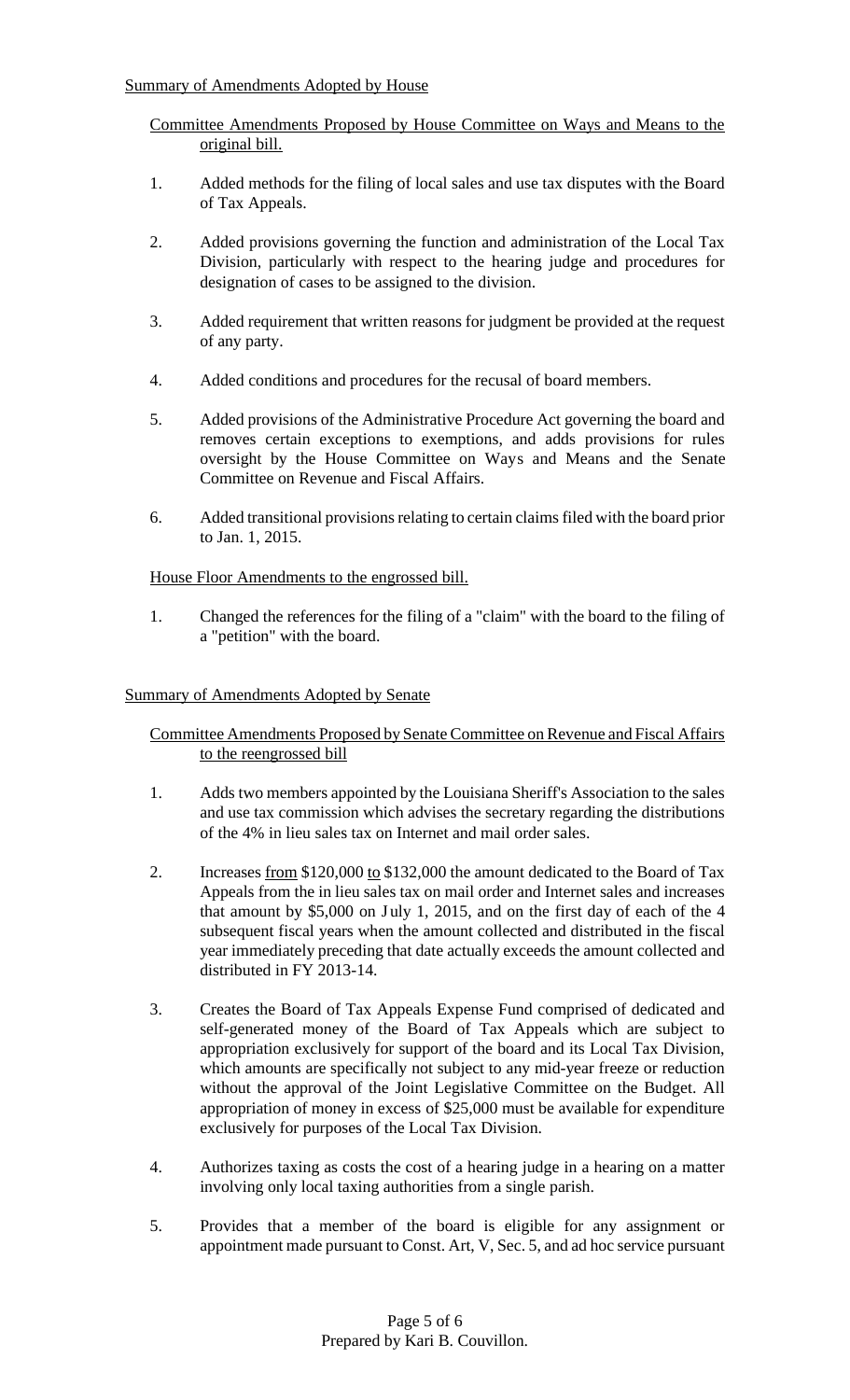Committee Amendments Proposed by House Committee on Ways and Means to the original bill.

- 1. Added methods for the filing of local sales and use tax disputes with the Board of Tax Appeals.
- 2. Added provisions governing the function and administration of the Local Tax Division, particularly with respect to the hearing judge and procedures for designation of cases to be assigned to the division.
- 3. Added requirement that written reasons for judgment be provided at the request of any party.
- 4. Added conditions and procedures for the recusal of board members.
- 5. Added provisions of the Administrative Procedure Act governing the board and removes certain exceptions to exemptions, and adds provisions for rules oversight by the House Committee on Ways and Means and the Senate Committee on Revenue and Fiscal Affairs.
- 6. Added transitional provisions relating to certain claims filed with the board prior to Jan. 1, 2015.

House Floor Amendments to the engrossed bill.

1. Changed the references for the filing of a "claim" with the board to the filing of a "petition" with the board.

## Summary of Amendments Adopted by Senate

Committee Amendments Proposed by Senate Committee on Revenue and Fiscal Affairs to the reengrossed bill

- 1. Adds two members appointed by the Louisiana Sheriff's Association to the sales and use tax commission which advises the secretary regarding the distributions of the 4% in lieu sales tax on Internet and mail order sales.
- 2. Increases from \$120,000 to \$132,000 the amount dedicated to the Board of Tax Appeals from the in lieu sales tax on mail order and Internet sales and increases that amount by  $$5,000$  on July 1, 2015, and on the first day of each of the 4 subsequent fiscal years when the amount collected and distributed in the fiscal year immediately preceding that date actually exceeds the amount collected and distributed in FY 2013-14.
- 3. Creates the Board of Tax Appeals Expense Fund comprised of dedicated and self-generated money of the Board of Tax Appeals which are subject to appropriation exclusively for support of the board and its Local Tax Division, which amounts are specifically not subject to any mid-year freeze or reduction without the approval of the Joint Legislative Committee on the Budget. All appropriation of money in excess of \$25,000 must be available for expenditure exclusively for purposes of the Local Tax Division.
- 4. Authorizes taxing as costs the cost of a hearing judge in a hearing on a matter involving only local taxing authorities from a single parish.
- 5. Provides that a member of the board is eligible for any assignment or appointment made pursuant to Const. Art, V, Sec. 5, and ad hoc service pursuant